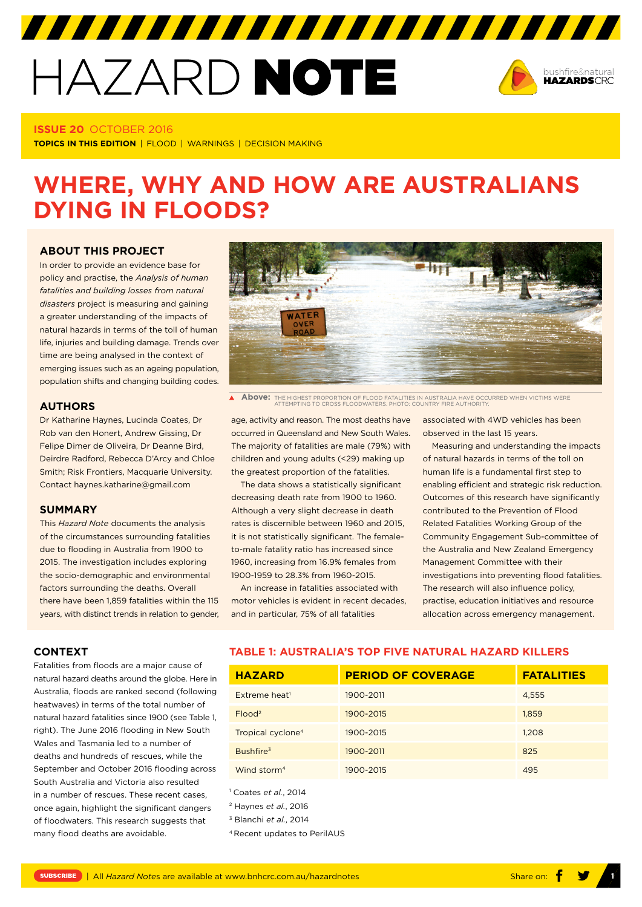# HAZARD NOTE



## **ISSUE 20** OCTOBER 2016

**TOPICS IN THIS EDITION** | FLOOD | WARNINGS | DECISION MAKING

# **WHERE, WHY AND HOW ARE AUSTRALIANS DYING IN FLOODS?**

# **ABOUT THIS PROJECT**

In order to provide an evidence base for policy and practise, the *Analysis of human fatalities and building losses from natural disasters* project is measuring and gaining a greater understanding of the impacts of natural hazards in terms of the toll of human life, injuries and building damage. Trends over time are being analysed in the context of emerging issues such as an ageing population, population shifts and changing building codes.

# **AUTHORS**

Dr Katharine Haynes, Lucinda Coates, Dr Rob van den Honert, Andrew Gissing, Dr Felipe Dimer de Oliveira, Dr Deanne Bird, Deirdre Radford, Rebecca D'Arcy and Chloe Smith; Risk Frontiers, Macquarie University. Contact [haynes.katharine@gmail.com](mailto:haynes.katharine@gmail.com)

#### **SUMMARY**

This *Hazard Note* documents the analysis of the circumstances surrounding fatalities due to flooding in Australia from 1900 to 2015. The investigation includes exploring the socio-demographic and environmental factors surrounding the deaths. Overall there have been 1,859 fatalities within the 115 years, with distinct trends in relation to gender,



**Above:** THE HIGHEST PROPORTION OF FLOOD FATALITIES IN AUSTRALIA HAVE OCCURRED WHEN VICTIMS WERE ATTEMPTING TO CROSS FLOODWATERS. PHOTO: COUNTRY FIRE AUTHORITY.

age, activity and reason. The most deaths have occurred in Queensland and New South Wales. The majority of fatalities are male (79%) with children and young adults (<29) making up the greatest proportion of the fatalities.

The data shows a statistically significant decreasing death rate from 1900 to 1960. Although a very slight decrease in death rates is discernible between 1960 and 2015, it is not statistically significant. The femaleto-male fatality ratio has increased since 1960, increasing from 16.9% females from 1900-1959 to 28.3% from 1960-2015.

An increase in fatalities associated with motor vehicles is evident in recent decades, and in particular, 75% of all fatalities

associated with 4WD vehicles has been observed in the last 15 years.

Measuring and understanding the impacts of natural hazards in terms of the toll on human life is a fundamental first step to enabling efficient and strategic risk reduction. Outcomes of this research have significantly contributed to the Prevention of Flood Related Fatalities Working Group of the Community Engagement Sub-committee of the Australia and New Zealand Emergency Management Committee with their investigations into preventing flood fatalities. The research will also influence policy, practise, education initiatives and resource allocation across emergency management.

#### **CONTEXT**

Fatalities from floods are a major cause of natural hazard deaths around the globe. Here in Australia, floods are ranked second (following heatwaves) in terms of the total number of natural hazard fatalities since 1900 (see Table 1, right). The June 2016 flooding in New South Wales and Tasmania led to a number of deaths and hundreds of rescues, while the September and October 2016 flooding across South Australia and Victoria also resulted in a number of rescues. These recent cases, once again, highlight the significant dangers of floodwaters. This research suggests that many flood deaths are avoidable.

# **TABLE 1: AUSTRALIA'S TOP FIVE NATURAL HAZARD KILLERS**

| <b>HAZARD</b>                 | <b>PERIOD OF COVERAGE</b> | <b>FATALITIES</b> |
|-------------------------------|---------------------------|-------------------|
| Extreme heat <sup>1</sup>     | 1900-2011                 | 4,555             |
| $F$ lood <sup>2</sup>         | 1900-2015                 | 1,859             |
| Tropical cyclone <sup>4</sup> | 1900-2015                 | 1,208             |
| Bushfire <sup>3</sup>         | 1900-2011                 | 825               |
| Wind storm <sup>4</sup>       | 1900-2015                 | 495               |

1 Coates *et al.*, 2014

2 Haynes *et al.*, 2016

3 Blanchi *et al.*, 2014

4 Recent updates to PerilAUS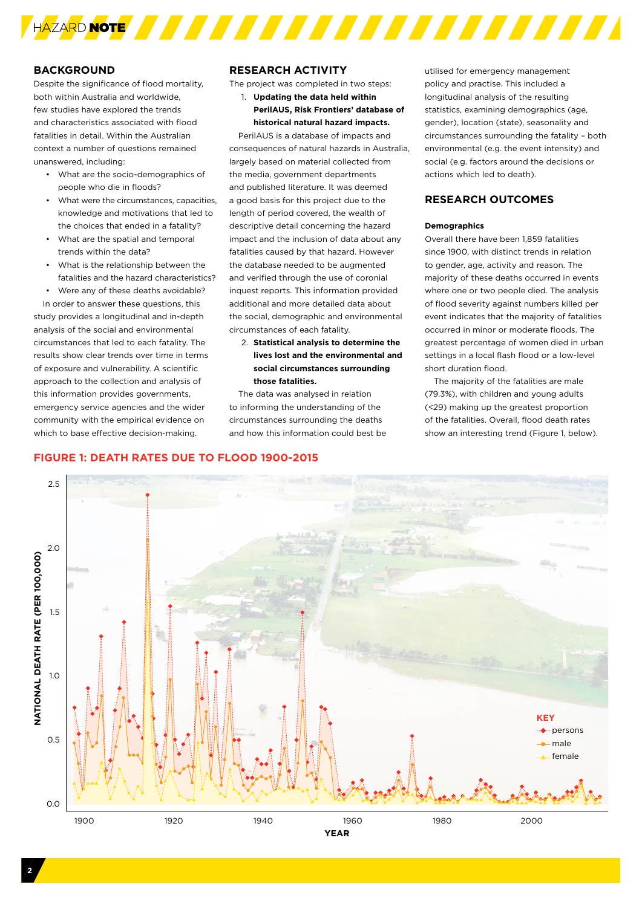

# **BACKGROUND**

Despite the significance of flood mortality, both within Australia and worldwide, few studies have explored the trends and characteristics associated with flood fatalities in detail. Within the Australian context a number of questions remained unanswered, including:

- What are the socio-demographics of people who die in floods?
- What were the circumstances, capacities knowledge and motivations that led to the choices that ended in a fatality?
- What are the spatial and temporal trends within the data?
- What is the relationship between the fatalities and the hazard characteristics?
- Were any of these deaths avoidable?

In order to answer these questions, this study provides a longitudinal and in-depth analysis of the social and environmental circumstances that led to each fatality. The results show clear trends over time in terms of exposure and vulnerability. A scientific approach to the collection and analysis of this information provides governments, emergency service agencies and the wider community with the empirical evidence on which to base effective decision-making.

# **RESEARCH ACTIVITY**

The project was completed in two steps:

1. **Updating the data held within PerilAUS, Risk Frontiers' database of historical natural hazard impacts.** 

PerilAUS is a database of impacts and consequences of natural hazards in Australia, largely based on material collected from the media, government departments and published literature. It was deemed a good basis for this project due to the length of period covered, the wealth of descriptive detail concerning the hazard impact and the inclusion of data about any fatalities caused by that hazard. However the database needed to be augmented and verified through the use of coronial inquest reports. This information provided additional and more detailed data about the social, demographic and environmental circumstances of each fatality.

2. **Statistical analysis to determine the lives lost and the environmental and social circumstances surrounding those fatalities.** 

The data was analysed in relation to informing the understanding of the circumstances surrounding the deaths and how this information could best be

utilised for emergency management policy and practise. This included a longitudinal analysis of the resulting statistics, examining demographics (age, gender), location (state), seasonality and circumstances surrounding the fatality – both environmental (e.g. the event intensity) and social (e.g. factors around the decisions or actions which led to death).

# **RESEARCH OUTCOMES**

#### **Demographics**

Overall there have been 1,859 fatalities since 1900, with distinct trends in relation to gender, age, activity and reason. The majority of these deaths occurred in events where one or two people died. The analysis of flood severity against numbers killed per event indicates that the majority of fatalities occurred in minor or moderate floods. The greatest percentage of women died in urban settings in a local flash flood or a low-level short duration flood.

The majority of the fatalities are male (79.3%), with children and young adults (<29) making up the greatest proportion of the fatalities. Overall, flood death rates show an interesting trend (Figure 1, below).

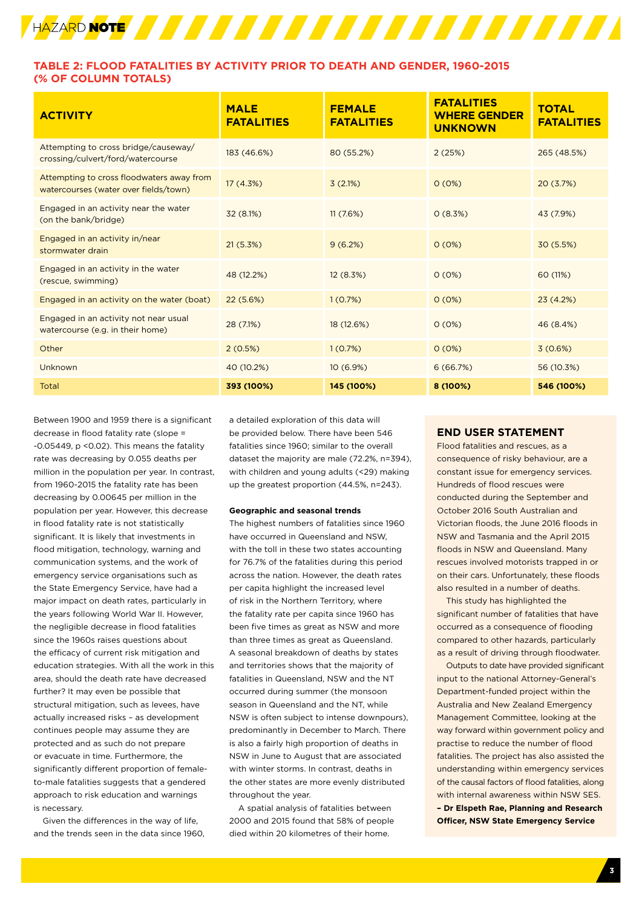

# **TABLE 2: FLOOD FATALITIES BY ACTIVITY PRIOR TO DEATH AND GENDER, 1960-2015 (% OF COLUMN TOTALS)**

| <b>ACTIVITY</b>                                                                    | <b>MALE</b><br><b>FATALITIES</b> | <b>FEMALE</b><br><b>FATALITIES</b> | <b>FATALITIES</b><br><b>WHERE GENDER</b><br><b>UNKNOWN</b> | <b>TOTAL</b><br><b>FATALITIES</b> |
|------------------------------------------------------------------------------------|----------------------------------|------------------------------------|------------------------------------------------------------|-----------------------------------|
| Attempting to cross bridge/causeway/<br>crossing/culvert/ford/watercourse          | 183 (46.6%)                      | 80 (55.2%)                         | 2(25%)                                                     | 265 (48.5%)                       |
| Attempting to cross floodwaters away from<br>watercourses (water over fields/town) | 17(4.3%)                         | 3(2.1%)                            | O(0%)                                                      | 20(3.7%)                          |
| Engaged in an activity near the water<br>(on the bank/bridge)                      | 32 (8.1%)                        | 11(7.6%)                           | 0(8.3%)                                                    | 43 (7.9%)                         |
| Engaged in an activity in/near<br>stormwater drain                                 | 21(5.3%)                         | 9(6.2%)                            | O(0%)                                                      | 30 (5.5%)                         |
| Engaged in an activity in the water<br>(rescue, swimming)                          | 48 (12.2%)                       | 12(8.3%)                           | O(0%)                                                      | 60 (11%)                          |
| Engaged in an activity on the water (boat)                                         | 22(5.6%)                         | 1(0.7%)                            | O(0%)                                                      | 23(4.2%)                          |
| Engaged in an activity not near usual<br>watercourse (e.g. in their home)          | 28 (7.1%)                        | 18 (12.6%)                         | O(0%)                                                      | 46 (8.4%)                         |
| Other                                                                              | 2(0.5%)                          | 1(0.7%)                            | 0(0%)                                                      | 3(0.6%)                           |
| Unknown                                                                            | 40 (10.2%)                       | 10(6.9%)                           | 6(66.7%)                                                   | 56 (10.3%)                        |
| Total                                                                              | 393 (100%)                       | 145 (100%)                         | 8 (100%)                                                   | 546 (100%)                        |

Between 1900 and 1959 there is a significant decrease in flood fatality rate (slope = -0.05449, p <0.02). This means the fatality rate was decreasing by 0.055 deaths per million in the population per year. In contrast, from 1960-2015 the fatality rate has been decreasing by 0.00645 per million in the population per year. However, this decrease in flood fatality rate is not statistically significant. It is likely that investments in flood mitigation, technology, warning and communication systems, and the work of emergency service organisations such as the State Emergency Service, have had a major impact on death rates, particularly in the years following World War II. However, the negligible decrease in flood fatalities since the 1960s raises questions about the efficacy of current risk mitigation and education strategies. With all the work in this area, should the death rate have decreased further? It may even be possible that structural mitigation, such as levees, have actually increased risks – as development continues people may assume they are protected and as such do not prepare or evacuate in time. Furthermore, the significantly different proportion of femaleto-male fatalities suggests that a gendered approach to risk education and warnings is necessary.

Given the differences in the way of life, and the trends seen in the data since 1960, a detailed exploration of this data will be provided below. There have been 546 fatalities since 1960; similar to the overall dataset the majority are male (72.2%, n=394), with children and young adults (<29) making up the greatest proportion (44.5%, n=243).

#### **Geographic and seasonal trends**

The highest numbers of fatalities since 1960 have occurred in Queensland and NSW, with the toll in these two states accounting for 76.7% of the fatalities during this period across the nation. However, the death rates per capita highlight the increased level of risk in the Northern Territory, where the fatality rate per capita since 1960 has been five times as great as NSW and more than three times as great as Queensland. A seasonal breakdown of deaths by states and territories shows that the majority of fatalities in Queensland, NSW and the NT occurred during summer (the monsoon season in Queensland and the NT, while NSW is often subject to intense downpours), predominantly in December to March. There is also a fairly high proportion of deaths in NSW in June to August that are associated with winter storms. In contrast, deaths in the other states are more evenly distributed throughout the year.

A spatial analysis of fatalities between 2000 and 2015 found that 58% of people died within 20 kilometres of their home.

# **END USER STATEMENT**

Flood fatalities and rescues, as a consequence of risky behaviour, are a constant issue for emergency services. Hundreds of flood rescues were conducted during the September and October 2016 South Australian and Victorian floods, the June 2016 floods in NSW and Tasmania and the April 2015 floods in NSW and Queensland. Many rescues involved motorists trapped in or on their cars. Unfortunately, these floods also resulted in a number of deaths.

This study has highlighted the significant number of fatalities that have occurred as a consequence of flooding compared to other hazards, particularly as a result of driving through floodwater.

Outputs to date have provided significant input to the national Attorney-General's Department-funded project within the Australia and New Zealand Emergency Management Committee, looking at the way forward within government policy and practise to reduce the number of flood fatalities. The project has also assisted the understanding within emergency services of the causal factors of flood fatalities, along with internal awareness within NSW SES. **– Dr Elspeth Rae, Planning and Research Officer, NSW State Emergency Service**